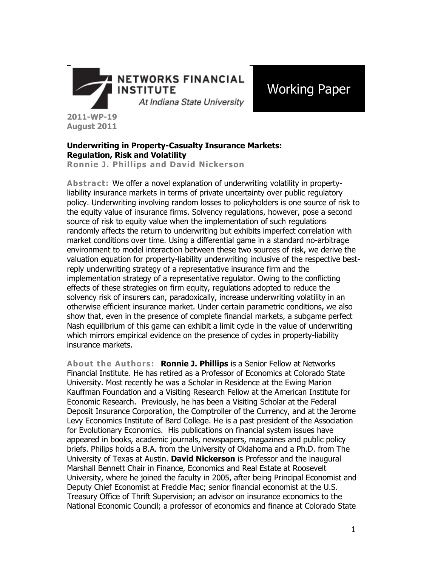

# Working Paper

**Underwriting in Property-Casualty Insurance Markets: Regulation, Risk and Volatility** 

**Ronnie J. Phillips and David Nickerson** 

**August 2011**

**Abstract:** We offer a novel explanation of underwriting volatility in propertyliability insurance markets in terms of private uncertainty over public regulatory policy. Underwriting involving random losses to policyholders is one source of risk to the equity value of insurance firms. Solvency regulations, however, pose a second source of risk to equity value when the implementation of such regulations randomly affects the return to underwriting but exhibits imperfect correlation with market conditions over time. Using a differential game in a standard no-arbitrage environment to model interaction between these two sources of risk, we derive the valuation equation for property-liability underwriting inclusive of the respective bestreply underwriting strategy of a representative insurance firm and the implementation strategy of a representative regulator. Owing to the conflicting effects of these strategies on firm equity, regulations adopted to reduce the solvency risk of insurers can, paradoxically, increase underwriting volatility in an otherwise efficient insurance market. Under certain parametric conditions, we also show that, even in the presence of complete financial markets, a subgame perfect Nash equilibrium of this game can exhibit a limit cycle in the value of underwriting which mirrors empirical evidence on the presence of cycles in property-liability insurance markets.

**About the Authors: Ronnie J. Phillips** is a Senior Fellow at Networks Financial Institute. He has retired as a Professor of Economics at Colorado State University. Most recently he was a Scholar in Residence at the Ewing Marion Kauffman Foundation and a Visiting Research Fellow at the American Institute for Economic Research. Previously, he has been a Visiting Scholar at the Federal Deposit Insurance Corporation, the Comptroller of the Currency, and at the Jerome Levy Economics Institute of Bard College. He is a past president of the Association for Evolutionary Economics. His publications on financial system issues have appeared in books, academic journals, newspapers, magazines and public policy briefs. Philips holds a B.A. from the University of Oklahoma and a Ph.D. from The University of Texas at Austin. **David Nickerson** is Professor and the inaugural Marshall Bennett Chair in Finance, Economics and Real Estate at Roosevelt University, where he joined the faculty in 2005, after being Principal Economist and Deputy Chief Economist at Freddie Mac; senior financial economist at the U.S. Treasury Office of Thrift Supervision; an advisor on insurance economics to the National Economic Council; a professor of economics and finance at Colorado State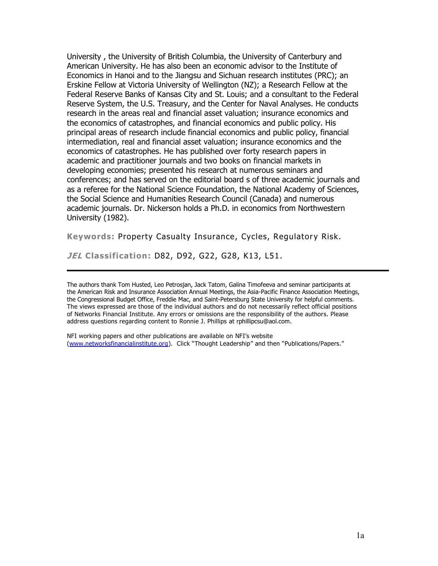University , the University of British Columbia, the University of Canterbury and American University. He has also been an economic advisor to the Institute of Economics in Hanoi and to the Jiangsu and Sichuan research institutes (PRC); an Erskine Fellow at Victoria University of Wellington (NZ); a Research Fellow at the Federal Reserve Banks of Kansas City and St. Louis; and a consultant to the Federal Reserve System, the U.S. Treasury, and the Center for Naval Analyses. He conducts research in the areas real and financial asset valuation; insurance economics and the economics of catastrophes, and financial economics and public policy. His principal areas of research include financial economics and public policy, financial intermediation, real and financial asset valuation; insurance economics and the economics of catastrophes. He has published over forty research papers in academic and practitioner journals and two books on financial markets in developing economies; presented his research at numerous seminars and conferences; and has served on the editorial board s of three academic journals and as a referee for the National Science Foundation, the National Academy of Sciences, the Social Science and Humanities Research Council (Canada) and numerous academic journals. Dr. Nickerson holds a Ph.D. in economics from Northwestern University (1982).

**Keywords:** Property Casualty Insurance, Cycles, Regulatory Risk.

**JEL Classification:** D82, D92, G22, G28, K13, L51.

The authors thank Tom Husted, Leo Petrosjan, Jack Tatom, Galina Timofeeva and seminar participants at the American Risk and Insurance Association Annual Meetings, the Asia-Pacific Finance Association Meetings, the Congressional Budget Office, Freddie Mac, and Saint-Petersburg State University for helpful comments. The views expressed are those of the individual authors and do not necessarily reflect official positions of Networks Financial Institute. Any errors or omissions are the responsibility of the authors. Please address questions regarding content to Ronnie J. Phillips at rphillipcsu@aol.com.

NFI working papers and other publications are available on NFI's website [\(www.networksfinancialinstitute.org](http://www.networksfinancialinstitute.org/)). Click "Thought Leadership" and then "Publications/Papers."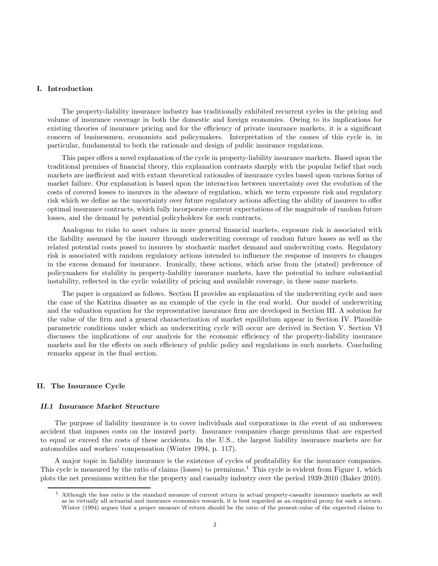# I. Introduction

The property-liability insurance industry has traditionally exhibited recurrent cycles in the pricing and volume of insurance coverage in both the domestic and foreign economies. Owing to its implications for existing theories of insurance pricing and for the efficiency of private insurance markets, it is a significant concern of businessmen, economists and policymakers. Interpretation of the causes of this cycle is, in particular, fundamental to both the rationale and design of public insurance regulations.

This paper offers a novel explanation of the cycle in property-liability insurance markets. Based upon the traditional premises of financial theory, this explanation contrasts sharply with the popular belief that such markets are inefficient and with extant theoretical rationales of insurance cycles based upon various forms of market failure. Our explanation is based upon the interaction between uncertainty over the evolution of the costs of covered losses to insurers in the absence of regulation, which we term exposure risk and regulatory risk which we define as the uncertainty over future regulatory actions affecting the ability of insurers to offer optimal insurance contracts, which fully incorporate current expectations of the magnitude of random future losses, and the demand by potential policyholders for such contracts.

Analogous to risks to asset values in more general financial markets, exposure risk is associated with the liability assumed by the insurer through underwriting coverage of random future losses as well as the related potential costs posed to insurers by stochastic market demand and underwriting costs. Regulatory risk is associated with random regulatory actions intended to influence the response of insurers to changes in the excess demand for insurance. Ironically, these actions, which arise from the (stated) preference of policymakers for stability in property-liability insurance markets, have the potential to induce substantial instability, reflected in the cyclic volatility of pricing and available coverage, in these same markets.

The paper is organized as follows. Section II provides an explanation of the underwriting cycle and uses the case of the Katrina disaster as an example of the cycle in the real world. Our model of underwriting and the valuation equation for the representative insurance firm are developed in Section III. A solution for the value of the firm and a general characterization of market equilibrium appear in Section IV. Plausible parametric conditions under which an underwriting cycle will occur are derived in Section V. Section VI discusses the implications of our analysis for the economic efficiency of the property-liability insurance markets and for the effects on such efficiency of public policy and regulations in such markets. Concluding remarks appear in the final section.

## II. The Insurance Cycle

## II.1 Insurance Market Structure

The purpose of liability insurance is to cover individuals and corporations in the event of an unforeseen accident that imposes costs on the insured party. Insurance companies charge premiums that are expected to equal or exceed the costs of these accidents. In the U.S., the largest liability insurance markets are for automobiles and workers' compensation (Winter 1994, p. 117).

A major topic in liability insurance is the existence of cycles of profitability for the insurance companies. This cycle is measured by the ratio of claims (losses) to premiums.<sup>1</sup> This cycle is evident from Figure 1, which plots the net premiums written for the property and casualty industry over the period 1939-2010 (Baker 2010).

Although the loss ratio is the standard measure of current return in actual property-casualty insurance markets as well as in virtually all actuarial and insurance economics research, it is best regarded as an empirical proxy for such a return. Winter (1994) argues that a proper measure of return should be the ratio of the present-value of the expected claims to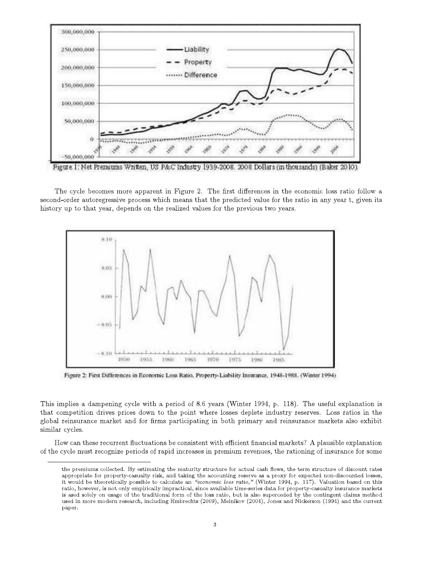

The cycle becomes more apparent in Figure 2. The first differences in the economic loss ratio follow a second-order autoregressive process which means that the predicted value for the ratio in any year t, given its history up to that year, depends on the realized values for the previous two years.



Figure 2: First Differences in Economic Loss Ratio, Property-Liability Insurance, 1948-1988. (Winter 1994)

This implies a dampening cycle with a period of 8.6 years (Winter 1994, p. 118). The useful explanation is that competition drives prices down to the point where losses deplete industry reserves. Loss ratios in the global reinsurance market and for firms participating in both primary and reinsurance markets also exhibit similar cycles.

How can these recurrent fluctuations be consistent with efficient financial markets? A plausible explanation of the cycle must recognize periods of rapid increases in premium revenues, the rationing of insurance for some

the premiums collected. By estimating the maturity structure for actual cash flows, the term structure of discount rates appropriate for property-casualty risk, and taking the accounting reserve as a proxy for expected non-discounted losses, it would be theoretically possible to calculate an "economic loss ratio," (Winter 1994, p. 117). Valuation based on this ratio, however, is not only empirically impractical, since available time-series data for property-casualty insurance markets is ased solely on usage of the traditional form of the loss ratio, but is also superceded by the contingent claims method used in more modern research, including Embrechts (2009), Melnikov (2004), Jones and Nickerson (1994) and the current paper.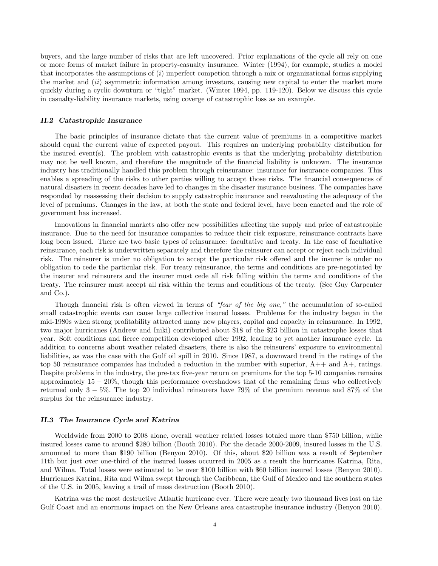buyers, and the large number of risks that are left uncovered. Prior explanations of the cycle all rely on one or more forms of market failure in property-casualty insurance. Winter (1994), for example, studies a model that incorporates the assumptions of  $(i)$  imperfect competion through a mix or organizational forms supplying the market and (ii) asymmetric information among investors, causing new capital to enter the market more quickly during a cyclic downturn or "tight" market. (Winter 1994, pp. 119-120). Below we discuss this cycle in casualty-liability insurance markets, using coverge of catastrophic loss as an example.

## II.2 Catastrophic Insurance

The basic principles of insurance dictate that the current value of premiums in a competitive market should equal the current value of expected payout. This requires an underlying probability distribution for the insured event(s). The problem with catastrophic events is that the underlying probability distribution may not be well known, and therefore the magnitude of the financial liability is unknown. The insurance industry has traditionally handled this problem through reinsurance: insurance for insurance companies. This enables a spreading of the risks to other parties willing to accept those risks. The financial consequences of natural disasters in recent decades have led to changes in the disaster insurance business. The companies have responded by reassessing their decision to supply catastrophic insurance and reevaluating the adequacy of the level of premiums. Changes in the law, at both the state and federal level, have been enacted and the role of government has increased.

Innovations in financial markets also offer new possibilities affecting the supply and price of catastrophic insurance. Due to the need for insurance companies to reduce their risk exposure, reinsurance contracts have long been issued. There are two basic types of reinsurance: facultative and treaty. In the case of facultative reinsurance, each risk is underwritten separately and therefore the reinsurer can accept or reject each individual risk. The reinsurer is under no obligation to accept the particular risk offered and the insurer is under no obligation to cede the particular risk. For treaty reinsurance, the terms and conditions are pre-negotiated by the insurer and reinsurers and the insurer must cede all risk falling within the terms and conditions of the treaty. The reinsurer must accept all risk within the terms and conditions of the treaty. (See Guy Carpenter and Co.).

Though financial risk is often viewed in terms of "fear of the big one," the accumulation of so-called small catastrophic events can cause large collective insured losses. Problems for the industry began in the mid-1980s when strong profitability attracted many new players, capital and capacity in reinsurance. In 1992, two major hurricanes (Andrew and Iniki) contributed about \$18 of the \$23 billion in catastrophe losses that year. Soft conditions and fierce competition developed after 1992, leading to yet another insurance cycle. In addition to concerns about weather related disasters, there is also the reinsurers' exposure to environmental liabilities, as was the case with the Gulf oil spill in 2010. Since 1987, a downward trend in the ratings of the top 50 reinsurance companies has included a reduction in the number with superior,  $A++$  and  $A+$ , ratings. Despite problems in the industry, the pre-tax five-year return on premiums for the top 5-10 companies remains approximately  $15 - 20\%$ , though this performance overshadows that of the remaining firms who collectively returned only  $3 - 5\%$ . The top 20 individual reinsurers have 79% of the premium revenue and 87% of the surplus for the reinsurance industry.

## II.3 The Insurance Cycle and Katrina

Worldwide from 2000 to 2008 alone, overall weather related losses totaled more than \$750 billion, while insured losses came to around \$280 billion (Booth 2010). For the decade 2000-2009, insured losses in the U.S. amounted to more than \$190 billion (Benyon 2010). Of this, about \$20 billion was a result of September 11th but just over one-third of the insured losses occurred in 2005 as a result the hurricanes Katrina, Rita, and Wilma. Total losses were estimated to be over \$100 billion with \$60 billion insured losses (Benyon 2010). Hurricanes Katrina, Rita and Wilma swept through the Caribbean, the Gulf of Mexico and the southern states of the U.S. in 2005, leaving a trail of mass destruction (Booth 2010).

Katrina was the most destructive Atlantic hurricane ever. There were nearly two thousand lives lost on the Gulf Coast and an enormous impact on the New Orleans area catastrophe insurance industry (Benyon 2010).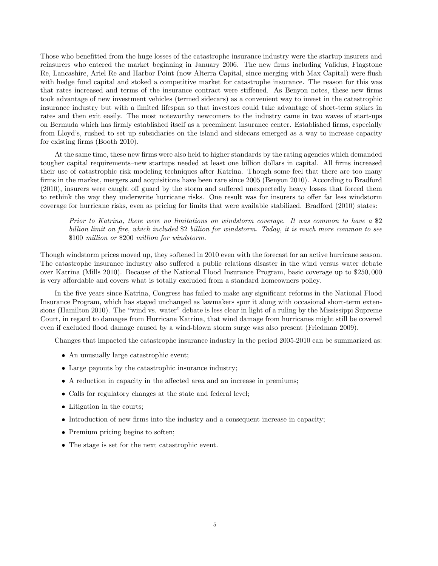Those who benefitted from the huge losses of the catastrophe insurance industry were the startup insurers and reinsurers who entered the market beginning in January 2006. The new firms including Validus, Flagstone Re, Lancashire, Ariel Re and Harbor Point (now Alterra Capital, since merging with Max Capital) were flush with hedge fund capital and stoked a competitive market for catastrophe insurance. The reason for this was that rates increased and terms of the insurance contract were stiffened. As Benyon notes, these new firms took advantage of new investment vehicles (termed sidecars) as a convenient way to invest in the catastrophic insurance industry but with a limited lifespan so that investors could take advantage of short-term spikes in rates and then exit easily. The most noteworthy newcomers to the industry came in two waves of start-ups on Bermuda which has firmly established itself as a preeminent insurance center. Established firms, especially from Lloyd's, rushed to set up subsidiaries on the island and sidecars emerged as a way to increase capacity for existing firms (Booth 2010).

At the same time, these new firms were also held to higher standards by the rating agencies which demanded tougher capital requirements–new startups needed at least one billion dollars in capital. All firms increased their use of catastrophic risk modeling techniques after Katrina. Though some feel that there are too many firms in the market, mergers and acquisitions have been rare since 2005 (Benyon 2010). According to Bradford (2010), insurers were caught off guard by the storm and suffered unexpectedly heavy losses that forced them to rethink the way they underwrite hurricane risks. One result was for insurers to offer far less windstorm coverage for hurricane risks, even as pricing for limits that were available stabilized. Bradford (2010) states:

Prior to Katrina, there were no limitations on windstorm coverage. It was common to have a \$2 billion limit on fire, which included \$2 billion for windstorm. Today, it is much more common to see \$100 million or \$200 million for windstorm.

Though windstorm prices moved up, they softened in 2010 even with the forecast for an active hurricane season. The catastrophe insurance industry also suffered a public relations disaster in the wind versus water debate over Katrina (Mills 2010). Because of the National Flood Insurance Program, basic coverage up to \$250, 000 is very affordable and covers what is totally excluded from a standard homeowners policy.

In the five years since Katrina, Congress has failed to make any significant reforms in the National Flood Insurance Program, which has stayed unchanged as lawmakers spur it along with occasional short-term extensions (Hamilton 2010). The "wind vs. water" debate is less clear in light of a ruling by the Mississippi Supreme Court, in regard to damages from Hurricane Katrina, that wind damage from hurricanes might still be covered even if excluded flood damage caused by a wind-blown storm surge was also present (Friedman 2009).

Changes that impacted the catastrophe insurance industry in the period 2005-2010 can be summarized as:

- An unusually large catastrophic event;
- Large payouts by the catastrophic insurance industry;
- A reduction in capacity in the affected area and an increase in premiums;
- Calls for regulatory changes at the state and federal level;
- Litigation in the courts;
- Introduction of new firms into the industry and a consequent increase in capacity;
- Premium pricing begins to soften;
- The stage is set for the next catastrophic event.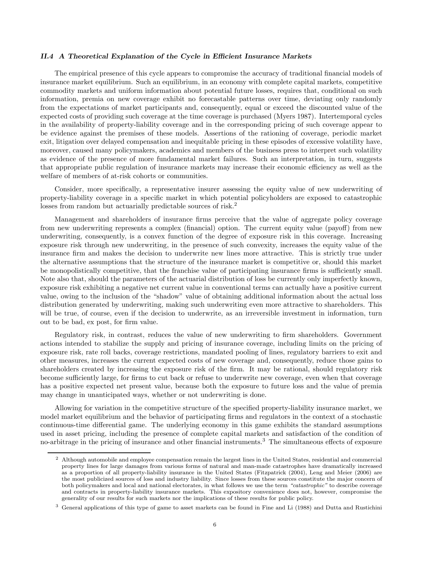## II.4 A Theoretical Explanation of the Cycle in Efficient Insurance Markets

The empirical presence of this cycle appears to compromise the accuracy of traditional financial models of insurance market equilibrium. Such an equilibrium, in an economy with complete capital markets, competitive commodity markets and uniform information about potential future losses, requires that, conditional on such information, premia on new coverage exhibit no forecastable patterns over time, deviating only randomly from the expectations of market participants and, consequently, equal or exceed the discounted value of the expected costs of providing such coverage at the time coverage is purchased (Myers 1987). Intertemporal cycles in the availability of property-liability coverage and in the corresponding pricing of such coverage appear to be evidence against the premises of these models. Assertions of the rationing of coverage, periodic market exit, litigation over delayed compensation and inequitable pricing in these episodes of excessive volatility have, moreover, caused many policymakers, academics and members of the business press to interpret such volatility as evidence of the presence of more fundamental market failures. Such an interpretation, in turn, suggests that appropriate public regulation of insurance markets may increase their economic efficiency as well as the welfare of members of at-risk cohorts or communities.

Consider, more specifically, a representative insurer assessing the equity value of new underwriting of property-liability coverage in a specific market in which potential policyholders are exposed to catastrophic losses from random but actuarially predictable sources of risk.<sup>2</sup>

Management and shareholders of insurance firms perceive that the value of aggregate policy coverage from new underwriting represents a complex (financial) option. The current equity value (payoff) from new underwriting, consequently, is a convex function of the degree of exposure risk in this coverage. Increasing exposure risk through new underwriting, in the presence of such convexity, increases the equity value of the insurance firm and makes the decision to underwrite new lines more attractive. This is strictly true under the alternative assumptions that the structure of the insurance market is competitive or, should this market be monopolistically competitive, that the franchise value of participating insurance firms is sufficiently small. Note also that, should the parameters of the actuarial distribution of loss be currently only imperfectly known, exposure risk exhibiting a negative net current value in conventional terms can actually have a positive current value, owing to the inclusion of the "shadow" value of obtaining additional information about the actual loss distribution generated by underwriting, making such underwriting even more attractive to shareholders. This will be true, of course, even if the decision to underwrite, as an irreversible investment in information, turn out to be bad, ex post, for firm value.

Regulatory risk, in contrast, reduces the value of new underwriting to firm shareholders. Government actions intended to stabilize the supply and pricing of insurance coverage, including limits on the pricing of exposure risk, rate roll backs, coverage restrictions, mandated pooling of lines, regulatory barriers to exit and other measures, increases the current expected costs of new coverage and, consequently, reduce those gains to shareholders created by increasing the exposure risk of the firm. It may be rational, should regulatory risk become sufficiently large, for firms to cut back or refuse to underwrite new coverage, even when that coverage has a positive expected net present value, because both the exposure to future loss and the value of premia may change in unanticipated ways, whether or not underwriting is done.

Allowing for variation in the competitive structure of the specified property-liability insurance market, we model market equilibrium and the behavior of participating firms and regulators in the context of a stochastic continuous-time differential game. The underlying economy in this game exhibits the standard assumptions used in asset pricing, including the presence of complete capital markets and satisfaction of the condition of no-arbitrage in the pricing of insurance and other financial instruments.<sup>3</sup> The simultaneous effects of exposure

 $2$  Although automobile and employee compensation remain the largest lines in the United States, residential and commercial property lines for large damages from various forms of natural and man-made catastrophes have dramatically increased as a proportion of all property-liability insurance in the United States (Fitzpatrick (2004), Leng and Meier (2006) are the most publicized sources of loss and industry liability. Since losses from these sources constitute the major concern of both policy makers and local and national electorates, in what follows we use the term "catastrophic" to describe coverage and contracts in property-liability insurance markets. This expository convenience does not, however, compromise the generality of our results for such markets nor the implications of these results for public policy.

 $3$  General applications of this type of game to asset markets can be found in Fine and Li (1988) and Dutta and Rustichini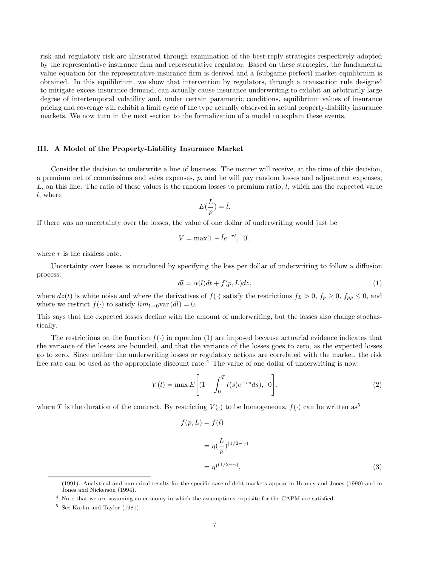risk and regulatory risk are illustrated through examination of the best-reply strategies respectively adopted by the representative insurance firm and representative regulator. Based on these strategies, the fundamental value equation for the representative insurance firm is derived and a (subgame perfect) market equilibrium is obtained. In this equilibrium, we show that intervention by regulators, through a transaction rule designed to mitigate excess insurance demand, can actually cause insurance underwriting to exhibit an arbitrarily large degree of intertemporal volatility and, under certain parametric conditions, equilibrium values of insurance pricing and coverage will exhibit a limit cycle of the type actually observed in actual property-liability insurance markets. We now turn in the next section to the formalization of a model to explain these events.

## III. A Model of the Property-Liability Insurance Market

Consider the decision to underwrite a line of business. The insurer will receive, at the time of this decision, a premium net of commissions and sales expenses,  $p$ , and he will pay random losses and adjustment expenses, L, on this line. The ratio of these values is the random losses to premium ratio, l, which has the expected value  $l$ , where

$$
E(\frac{L}{p}) = \overline{l}.
$$

If there was no uncertainty over the losses, the value of one dollar of underwriting would just be

$$
V = \max[1 - \bar{l}e^{-rt}, 0],
$$

where  $r$  is the riskless rate.

Uncertainty over losses is introduced by specifying the loss per dollar of underwriting to follow a diffusion process:

$$
dl = \alpha(l)dt + f(p, L)dz,\tag{1}
$$

where  $dz(t)$  is white noise and where the derivatives of  $f(\cdot)$  satisfy the restrictions  $f_L > 0$ ,  $f_p \ge 0$ ,  $f_{pp} \le 0$ , and where we restrict  $f(\cdot)$  to satisfy  $\lim_{l\to 0}$  var  $dl) = 0$ .

This says that the expected losses decline with the amount of underwriting, but the losses also change stochastically.

The restrictions on the function  $f(\cdot)$  in equation (1) are imposed because actuarial evidence indicates that the variance of the losses are bounded, and that the variance of the losses goes to zero, as the expected losses go to zero. Since neither the underwriting losses or regulatory actions are correlated with the market, the risk free rate can be used as the appropriate discount rate.<sup>4</sup> The value of one dollar of underwriting is now:

$$
V(l) = \max E\left[ (1 - \int_0^T l(s)e^{-rs}ds), 0 \right],
$$
\n(2)

where T is the duration of the contract. By restricting  $V(\cdot)$  to be homogeneous,  $f(\cdot)$  can be written as<sup>5</sup>

$$
f(p, L) = f(l)
$$

$$
= \eta \left(\frac{L}{p}\right)^{(1/2 - \gamma)}
$$

$$
= \eta l^{(1/2 - \gamma)}, \tag{3}
$$

<sup>(1991).</sup> Analytical and numerical results for the specific case of debt markets appear in Heaney and Jones (1990) and in Jones and Nickerson (1994).

 $4$  Note that we are assuming an economy in which the assumptions requisite for the CAPM are satisfied.

 $5$  See Karlin and Taylor (1981).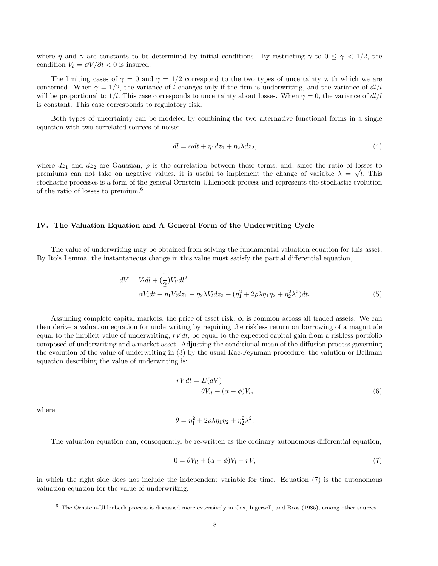where  $\eta$  and  $\gamma$  are constants to be determined by initial conditions. By restricting  $\gamma$  to  $0 \leq \gamma < 1/2$ , the condition  $V_l = \frac{\partial V}{\partial l} < 0$  is insured.

The limiting cases of  $\gamma = 0$  and  $\gamma = 1/2$  correspond to the two types of uncertainty with which we are concerned. When  $\gamma = 1/2$ , the variance of l changes only if the firm is underwriting, and the variance of  $dl/l$ will be proportional to 1/l. This case corresponds to uncertainty about losses. When  $\gamma = 0$ , the variance of  $dl/l$ is constant. This case corresponds to regulatory risk.

Both types of uncertainty can be modeled by combining the two alternative functional forms in a single equation with two correlated sources of noise:

$$
dl = \alpha dt + \eta_1 dz_1 + \eta_2 \lambda dz_2, \tag{4}
$$

where  $dz_1$  and  $dz_2$  are Gaussian,  $\rho$  is the correlation between these terms, and, since the ratio of losses to premiums can not take on negative values, it is useful to implement the change of variable  $\lambda = \sqrt{l}$ . This stochastic processes is a form of the general Ornstein-Uhlenbeck process and represents the stochastic evolution of the ratio of losses to premium.<sup>6</sup>

# IV. The Valuation Equation and A General Form of the Underwriting Cycle

The value of underwriting may be obtained from solving the fundamental valuation equation for this asset. By Ito's Lemma, the instantaneous change in this value must satisfy the partial differential equation,

$$
dV = V_l dl + (\frac{1}{2})V_{ll} dl^2
$$
  
=  $\alpha V_l dt + \eta_1 V_l dz_1 + \eta_2 \lambda V_l dz_2 + (\eta_1^2 + 2\rho \lambda \eta_1 \eta_2 + \eta_2^2 \lambda^2) dt.$  (5)

Assuming complete capital markets, the price of asset risk,  $\phi$ , is common across all traded assets. We can then derive a valuation equation for underwriting by requiring the riskless return on borrowing of a magnitude equal to the implicit value of underwriting,  $rVdt$ , be equal to the expected capital gain from a riskless portfolio composed of underwriting and a market asset. Adjusting the conditional mean of the diffusion process governing the evolution of the value of underwriting in (3) by the usual Kac-Feynman procedure, the valution or Bellman equation describing the value of underwriting is:

$$
rVdt = E(dV)
$$
  
=  $\theta V_{ll} + (\alpha - \phi)V_{l},$  (6)

where

$$
\theta = \eta_1^2 + 2\rho\lambda\eta_1\eta_2 + \eta_2^2\lambda^2.
$$

The valuation equation can, consequently, be re-written as the ordinary autonomous differential equation,

$$
0 = \theta V_{ll} + (\alpha - \phi)V_l - rV,
$$
\n(7)

in which the right side does not include the independent variable for time. Equation (7) is the autonomous valuation equation for the value of underwriting.

 $6$  The Ornstein-Uhlenbeck process is discussed more extensively in Cox, Ingersoll, and Ross (1985), among other sources.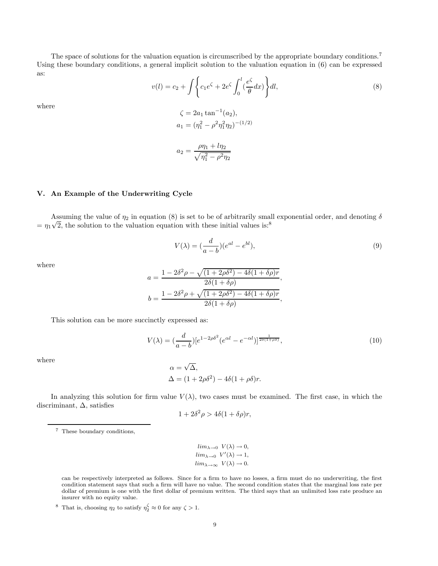The space of solutions for the valuation equation is circumscribed by the appropriate boundary conditions.<sup>7</sup> Using these boundary conditions, a general implicit solution to the valuation equation in (6) can be expressed as:

$$
v(l) = c_2 + \int \left\{ c_1 e^{\zeta} + 2e^{\zeta} \int_0^l \left( \frac{e^{\zeta}}{\theta} dx \right) \right\} dl,
$$
\n(8)

where

$$
\zeta = 2a_1 \tan^{-1}(a_2),
$$
  
\n
$$
a_1 = (\eta_1^2 - \rho^2 \eta_1^2 \eta_2)^{-(1/2)}
$$

$$
a_2 = \frac{\rho \eta_1 + l \eta_2}{\sqrt{\eta_1^2 - \rho^2 \eta_2}}
$$

# V. An Example of the Underwriting Cycle

Assuming the value of  $\eta_2$  in equation (8) is set to be of arbitrarily small exponential order, and denoting  $\delta$  $= \eta_1 \sqrt{2}$ , the solution to the valuation equation with these initial values is:<sup>8</sup>

$$
V(\lambda) = \left(\frac{d}{a-b}\right)(e^{al} - e^{bl}),\tag{9}
$$

where

$$
a = \frac{1 - 2\delta^2 \rho - \sqrt{(1 + 2\rho \delta^2) - 4\delta (1 + \delta \rho)r}}{2\delta (1 + \delta \rho)},
$$
  

$$
b = \frac{1 - 2\delta^2 \rho + \sqrt{(1 + 2\rho \delta^2) - 4\delta (1 + \delta \rho)r}}{2\delta (1 + \delta \rho)},
$$

This solution can be more succinctly expressed as:

$$
V(\lambda) = \left(\frac{d}{a-b}\right)[e^{1-2\rho\delta^2}(e^{\alpha l} - e^{-\alpha l})]^{\frac{1}{2\delta(1+\rho\delta)}},\tag{10}
$$

where

$$
\alpha = \sqrt{\Delta},
$$
  
\n
$$
\Delta = (1 + 2\rho\delta^2) - 4\delta(1 + \rho\delta)r.
$$

In analyzing this solution for firm value  $V(\lambda)$ , two cases must be examined. The first case, in which the discriminant,  $\Delta$ , satisfies

$$
1 + 2\delta^2 \rho > 4\delta (1 + \delta \rho)r,
$$

 $7$  These boundary conditions,

 $lim_{\lambda\to 0} V(\lambda) \to 0,$  $lim_{\lambda \to 0} V'(\lambda) \to 1$ ,  $lim_{\lambda \to \infty} V(\lambda) \to 0.$ 

can be respectively interpreted as follows. Since for a firm to have no losses, a firm must do no underwriting, the first condition statement says that such a firm will have no value. The second condition states that the marginal loss rate per dollar of premium is one with the first dollar of premium written. The third says that an unlimited loss rate produce an insurer with no equity value.

<sup>&</sup>lt;sup>8</sup> That is, choosing  $\eta_2$  to satisfy  $\eta_2^{\zeta} \approx 0$  for any  $\zeta > 1$ .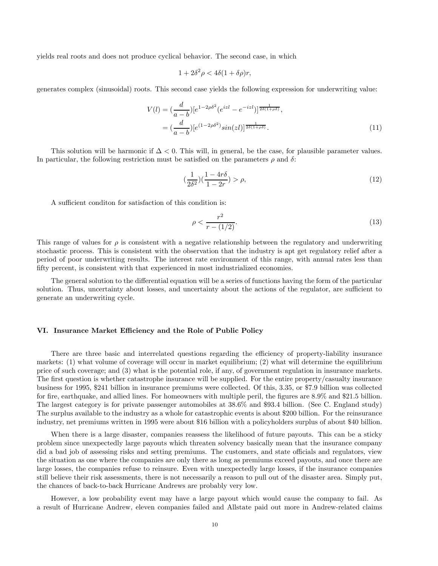yields real roots and does not produce cyclical behavior. The second case, in which

$$
1 + 2\delta^2 \rho < 4\delta(1 + \delta \rho)r
$$

generates complex (sinusoidal) roots. This second case yields the following expression for underwriting value:

$$
V(l) = \left(\frac{d}{a-b}\right)[e^{1-2\rho\delta^2}(e^{izl} - e^{-izl})]^{\frac{1}{2\delta(1+\rho\delta)}},
$$
  
=  $\left(\frac{d}{a-b}\right)[e^{(1-2\rho\delta^2)}sin(zt)]^{\frac{1}{2\delta(1+\rho\delta)}}.$  (11)

This solution will be harmonic if  $\Delta < 0$ . This will, in general, be the case, for plausible parameter values. In particular, the following restriction must be satisfied on the parameters  $\rho$  and  $\delta$ :

$$
(\frac{1}{2\delta^2}) (\frac{1 - 4r\delta}{1 - 2r}) > \rho,
$$
\n(12)

A sufficient conditon for satisfaction of this condition is:

$$
\rho < \frac{r^2}{r - (1/2)}.\tag{13}
$$

This range of values for  $\rho$  is consistent with a negative relationship between the regulatory and underwriting stochastic process. This is consistent with the observation that the industry is apt get regulatory relief after a period of poor underwriting results. The interest rate environment of this range, with annual rates less than fifty percent, is consistent with that experienced in most industrialized economies.

The general solution to the differential equation will be a series of functions having the form of the particular solution. Thus, uncertainty about losses, and uncertainty about the actions of the regulator, are sufficient to generate an underwriting cycle.

# VI. Insurance Market Efficiency and the Role of Public Policy

There are three basic and interrelated questions regarding the efficiency of property-liability insurance markets: (1) what volume of coverage will occur in market equilibrium; (2) what will determine the equilibrium price of such coverage; and (3) what is the potential role, if any, of government regulation in insurance markets. The first question is whether catastrophe insurance will be supplied. For the entire property/casualty insurance business for 1995, \$241 billion in insurance premiums were collected. Of this, 3.35, or \$7.9 billion was collected for fire, earthquake, and allied lines. For homeowners with multiple peril, the figures are 8.9% and \$21.5 billion. The largest category is for private passenger automobiles at 38.6% and \$93.4 billion. (See C. England study) The surplus available to the industry as a whole for catastrophic events is about \$200 billion. For the reinsurance industry, net premiums written in 1995 were about \$16 billion with a policyholders surplus of about \$40 billion.

When there is a large disaster, companies reassess the likelihood of future payouts. This can be a sticky problem since unexpectedly large payouts which threaten solvency basically mean that the insurance company did a bad job of assessing risks and setting premiums. The customers, and state officials and regulators, view the situation as one where the companies are only there as long as premiums exceed payouts, and once there are large losses, the companies refuse to reinsure. Even with unexpectedly large losses, if the insurance companies still believe their risk assessments, there is not necessarily a reason to pull out of the disaster area. Simply put, the chances of back-to-back Hurricane Andrews are probably very low.

However, a low probability event may have a large payout which would cause the company to fail. As a result of Hurricane Andrew, eleven companies failed and Allstate paid out more in Andrew-related claims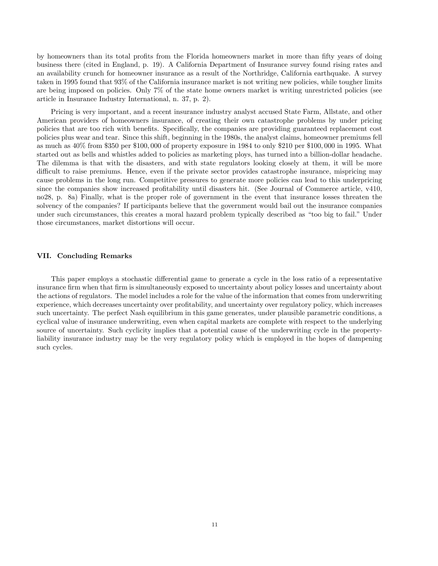by homeowners than its total profits from the Florida homeowners market in more than fifty years of doing business there (cited in England, p. 19). A California Department of Insurance survey found rising rates and an availability crunch for homeowner insurance as a result of the Northridge, California earthquake. A survey taken in 1995 found that 93% of the California insurance market is not writing new policies, while tougher limits are being imposed on policies. Only 7% of the state home owners market is writing unrestricted policies (see article in Insurance Industry International, n. 37, p. 2).

Pricing is very important, and a recent insurance industry analyst accused State Farm, Allstate, and other American providers of homeowners insurance, of creating their own catastrophe problems by under pricing policies that are too rich with benefits. Specifically, the companies are providing guaranteed replacement cost policies plus wear and tear. Since this shift, beginning in the 1980s, the analyst claims, homeowner premiums fell as much as 40% from \$350 per \$100, 000 of property exposure in 1984 to only \$210 per \$100, 000 in 1995. What started out as bells and whistles added to policies as marketing ploys, has turned into a billion-dollar headache. The dilemma is that with the disasters, and with state regulators looking closely at them, it will be more difficult to raise premiums. Hence, even if the private sector provides catastrophe insurance, mispricing may cause problems in the long run. Competitive pressures to generate more policies can lead to this underpricing since the companies show increased profitability until disasters hit. (See Journal of Commerce article, v410, no28, p. 8a) Finally, what is the proper role of government in the event that insurance losses threaten the solvency of the companies? If participants believe that the government would bail out the insurance companies under such circumstances, this creates a moral hazard problem typically described as "too big to fail." Under those circumstances, market distortions will occur.

# VII. Concluding Remarks

This paper employs a stochastic differential game to generate a cycle in the loss ratio of a representative insurance firm when that firm is simultaneously exposed to uncertainty about policy losses and uncertainty about the actions of regulators. The model includes a role for the value of the information that comes from underwriting experience, which decreases uncertainty over profitability, and uncertainty over regulatory policy, which increases such uncertainty. The perfect Nash equilibrium in this game generates, under plausible parametric conditions, a cyclical value of insurance underwriting, even when capital markets are complete with respect to the underlying source of uncertainty. Such cyclicity implies that a potential cause of the underwriting cycle in the propertyliability insurance industry may be the very regulatory policy which is employed in the hopes of dampening such cycles.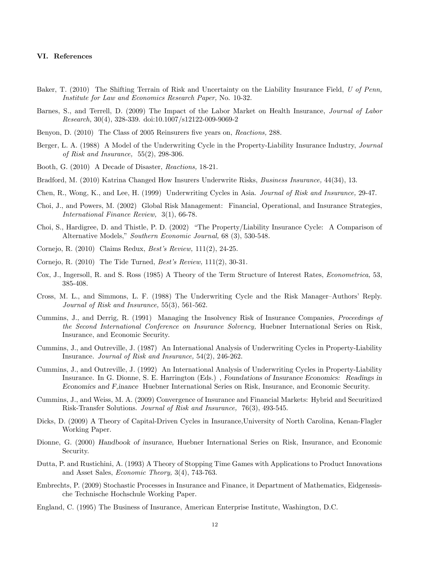# VI. References

- Baker, T. (2010) The Shifting Terrain of Risk and Uncertainty on the Liability Insurance Field, U of Penn, Institute for Law and Economics Research Paper, No. 10-32.
- Barnes, S., and Terrell, D. (2009) The Impact of the Labor Market on Health Insurance, Journal of Labor Research, 30(4), 328-339. doi:10.1007/s12122-009-9069-2
- Benyon, D. (2010) The Class of 2005 Reinsurers five years on, Reactions, 288.
- Berger, L. A. (1988) A Model of the Underwriting Cycle in the Property-Liability Insurance Industry, Journal of Risk and Insurance,  $55(2)$ ,  $298-306$ .
- Booth, G. (2010) A Decade of Disaster, Reactions, 18-21.
- Bradford, M. (2010) Katrina Changed How Insurers Underwrite Risks, Business Insurance, 44(34), 13.
- Chen, R., Wong, K., and Lee, H. (1999) Underwriting Cycles in Asia. Journal of Risk and Insurance, 29-47.
- Choi, J., and Powers, M. (2002) Global Risk Management: Financial, Operational, and Insurance Strategies, International Finance Review, 3(1), 66-78.
- Choi, S., Hardigree, D. and Thistle, P. D. (2002) "The Property/Liability Insurance Cycle: A Comparison of Alternative Models," Southern Economic Journal, 68 (3), 530-548.
- Cornejo, R. (2010) Claims Redux, Best's Review, 111(2), 24-25.
- Cornejo, R. (2010) The Tide Turned, Best's Review, 111(2), 30-31.
- Cox, J., Ingersoll, R. and S. Ross (1985) A Theory of the Term Structure of Interest Rates, Econometrica, 53, 385-408.
- Cross, M. L., and Simmons, L. F. (1988) The Underwriting Cycle and the Risk Manager–Authors' Reply. Journal of Risk and Insurance, 55(3), 561-562.
- Cummins, J., and Derrig, R. (1991) Managing the Insolvency Risk of Insurance Companies, Proceedings of the Second International Conference on Insurance Solvency, Huebner International Series on Risk, Insurance, and Economic Security.
- Cummins, J., and Outreville, J. (1987) An International Analysis of Underwriting Cycles in Property-Liability Insurance. Journal of Risk and Insurance, 54(2), 246-262.
- Cummins, J., and Outreville, J. (1992) An International Analysis of Underwriting Cycles in Property-Liability Insurance. In G. Dionne, S. E. Harrington (Eds.) , Foundations of Insurance Economics: Readings in Economics and F,inance Huebner International Series on Risk, Insurance, and Economic Security.
- Cummins, J., and Weiss, M. A. (2009) Convergence of Insurance and Financial Markets: Hybrid and Securitized Risk-Transfer Solutions. Journal of Risk and Insurance, 76(3), 493-545.
- Dicks, D. (2009) A Theory of Capital-Driven Cycles in Insurance,University of North Carolina, Kenan-Flagler Working Paper.
- Dionne, G. (2000) Handbook of insurance, Huebner International Series on Risk, Insurance, and Economic Security.
- Dutta, P. and Rustichini, A. (1993) A Theory of Stopping Time Games with Applications to Product Innovations and Asset Sales, Economic Theory, 3(4), 743-763.
- Embrechts, P. (2009) Stochastic Processes in Insurance and Finance, it Department of Mathematics, Eidgenssische Technische Hochschule Working Paper.
- England, C. (1995) The Business of Insurance, American Enterprise Institute, Washington, D.C.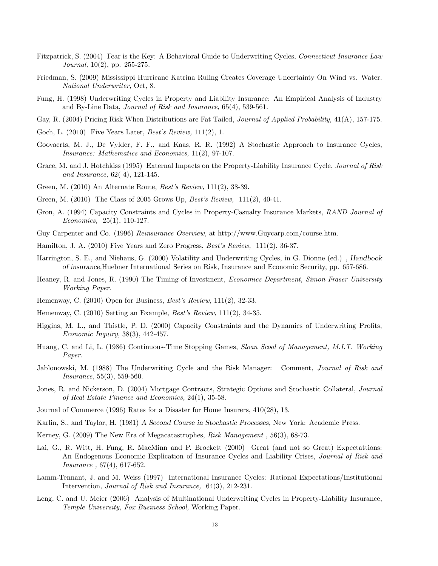- Fitzpatrick, S. (2004) Fear is the Key: A Behavioral Guide to Underwriting Cycles, Connecticut Insurance Law Journal, 10(2), pp. 255-275.
- Friedman, S. (2009) Mississippi Hurricane Katrina Ruling Creates Coverage Uncertainty On Wind vs. Water. National Underwriter, Oct, 8.
- Fung, H. (1998) Underwriting Cycles in Property and Liability Insurance: An Empirical Analysis of Industry and By-Line Data, Journal of Risk and Insurance, 65(4), 539-561.
- Gay, R. (2004) Pricing Risk When Distributions are Fat Tailed, Journal of Applied Probability, 41(A), 157-175.
- Goch, L. (2010) Five Years Later, Best's Review, 111(2), 1.
- Goovaerts, M. J., De Vylder, F. F., and Kaas, R. R. (1992) A Stochastic Approach to Insurance Cycles, Insurance: Mathematics and Economics, 11(2), 97-107.
- Grace, M. and J. Hotchkiss (1995) External Impacts on the Property-Liability Insurance Cycle, Journal of Risk and Insurance, 62( 4), 121-145.
- Green, M. (2010) An Alternate Route, Best's Review, 111(2), 38-39.
- Green, M. (2010) The Class of 2005 Grows Up, Best's Review, 111(2), 40-41.
- Gron, A. (1994) Capacity Constraints and Cycles in Property-Casualty Insurance Markets, RAND Journal of Economics, 25(1), 110-127.
- Guy Carpenter and Co. (1996) Reinsurance Overview, at http://www.Guycarp.com/course.htm.
- Hamilton, J. A. (2010) Five Years and Zero Progress, Best's Review, 111(2), 36-37.
- Harrington, S. E., and Niehaus, G. (2000) Volatility and Underwriting Cycles, in G. Dionne (ed.) , Handbook of insurance,Huebner International Series on Risk, Insurance and Economic Security, pp. 657-686.
- Heaney, R. and Jones, R. (1990) The Timing of Investment, *Economics Department, Simon Fraser University* Working Paper.
- Hemenway, C. (2010) Open for Business, Best's Review, 111(2), 32-33.
- Hemenway, C. (2010) Setting an Example, Best's Review, 111(2), 34-35.
- Higgins, M. L., and Thistle, P. D. (2000) Capacity Constraints and the Dynamics of Underwriting Profits, Economic Inquiry, 38(3), 442-457.
- Huang, C. and Li, L. (1986) Continuous-Time Stopping Games, Sloan Scool of Management, M.I.T. Working Paper.
- Jablonowski, M. (1988) The Underwriting Cycle and the Risk Manager: Comment, Journal of Risk and Insurance, 55(3), 559-560.
- Jones, R. and Nickerson, D. (2004) Mortgage Contracts, Strategic Options and Stochastic Collateral, Journal of Real Estate Finance and Economics, 24(1), 35-58.
- Journal of Commerce (1996) Rates for a Disaster for Home Insurers, 410(28), 13.
- Karlin, S., and Taylor, H. (1981) A Second Course in Stochastic Processes, New York: Academic Press.
- Kerney, G. (2009) The New Era of Megacatastrophes, Risk Management , 56(3), 68-73.
- Lai, G., R. Witt, H. Fung, R. MacMinn and P. Brockett (2000) Great (and not so Great) Expectattions: An Endogenous Economic Explication of Insurance Cycles and Liability Crises, *Journal of Risk and* Insurance , 67(4), 617-652.
- Lamm-Tennant, J. and M. Weiss (1997) International Insurance Cycles: Rational Expectations/Institutional Intervention, Journal of Risk and Insurance, 64(3), 212-231.
- Leng, C. and U. Meier (2006) Analysis of Multinational Underwriting Cycles in Property-Liability Insurance, Temple University, Fox Business School, Working Paper.